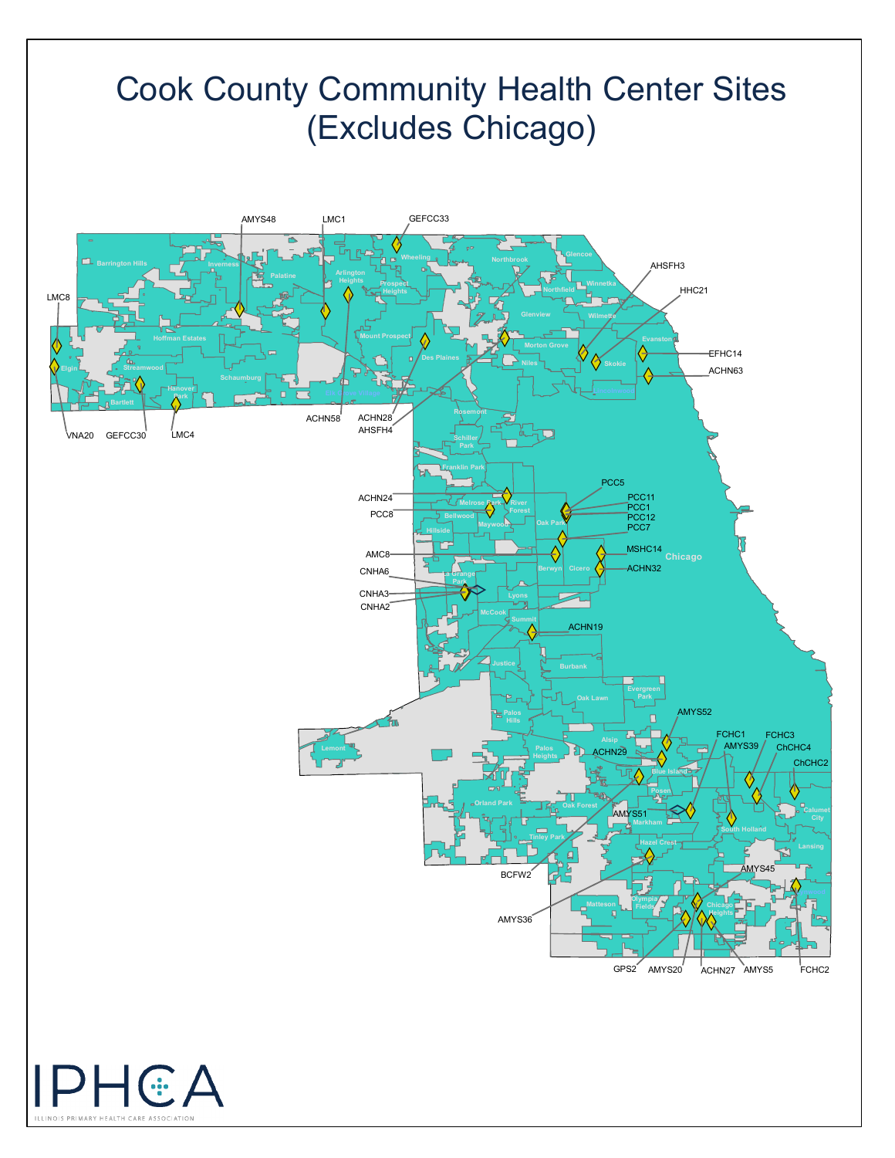